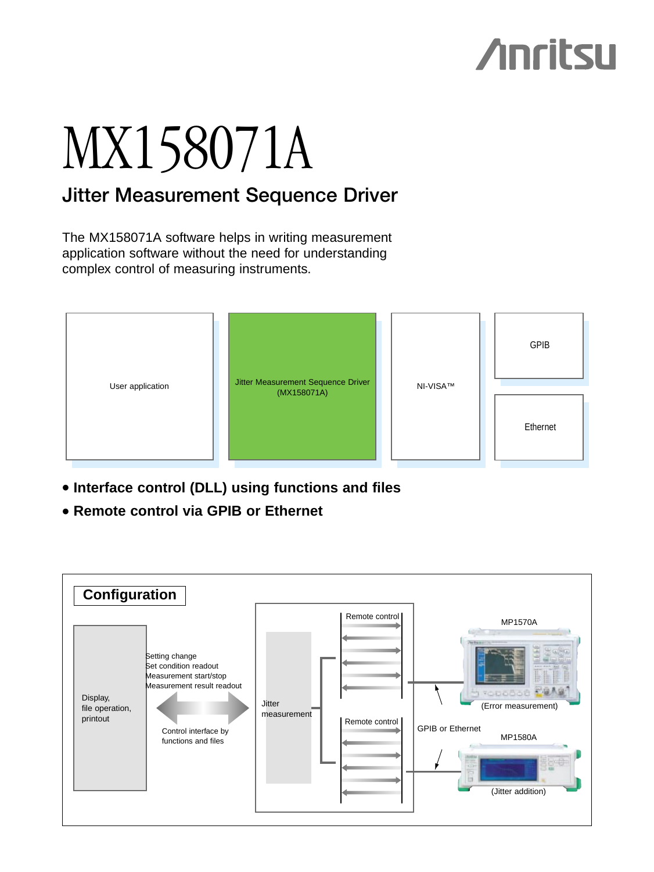## **Anritsu**

# MX158071A

## **Jitter Measurement Sequence Driver**

The MX158071A software helps in writing measurement application software without the need for understanding complex control of measuring instruments.



- **• Interface control (DLL) using functions and files**
- **• Remote control via GPIB or Ethernet**